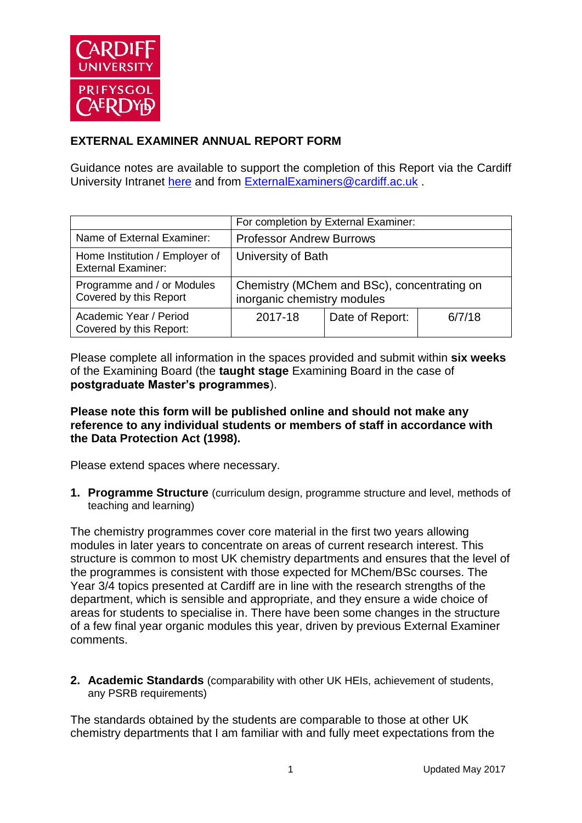

## **EXTERNAL EXAMINER ANNUAL REPORT FORM**

Guidance notes are available to support the completion of this Report via the Cardiff University Intranet [here](https://intranet.cardiff.ac.uk/staff/teaching-and-supporting-students/exams-and-assessment/exam-boards-and-external-examiners/for-current-external-examiners/external-examiners-reports) and from [ExternalExaminers@cardiff.ac.uk](mailto:ExternalExaminers@cardiff.ac.uk) .

|                                                             | For completion by External Examiner:                                       |                 |        |
|-------------------------------------------------------------|----------------------------------------------------------------------------|-----------------|--------|
| Name of External Examiner:                                  | <b>Professor Andrew Burrows</b>                                            |                 |        |
| Home Institution / Employer of<br><b>External Examiner:</b> | University of Bath                                                         |                 |        |
| Programme and / or Modules<br>Covered by this Report        | Chemistry (MChem and BSc), concentrating on<br>inorganic chemistry modules |                 |        |
| Academic Year / Period<br>Covered by this Report:           | 2017-18                                                                    | Date of Report: | 6/7/18 |

Please complete all information in the spaces provided and submit within **six weeks** of the Examining Board (the **taught stage** Examining Board in the case of **postgraduate Master's programmes**).

## **Please note this form will be published online and should not make any reference to any individual students or members of staff in accordance with the Data Protection Act (1998).**

Please extend spaces where necessary.

**1. Programme Structure** (curriculum design, programme structure and level, methods of teaching and learning)

The chemistry programmes cover core material in the first two years allowing modules in later years to concentrate on areas of current research interest. This structure is common to most UK chemistry departments and ensures that the level of the programmes is consistent with those expected for MChem/BSc courses. The Year 3/4 topics presented at Cardiff are in line with the research strengths of the department, which is sensible and appropriate, and they ensure a wide choice of areas for students to specialise in. There have been some changes in the structure of a few final year organic modules this year, driven by previous External Examiner comments.

**2. Academic Standards** (comparability with other UK HEIs, achievement of students, any PSRB requirements)

The standards obtained by the students are comparable to those at other UK chemistry departments that I am familiar with and fully meet expectations from the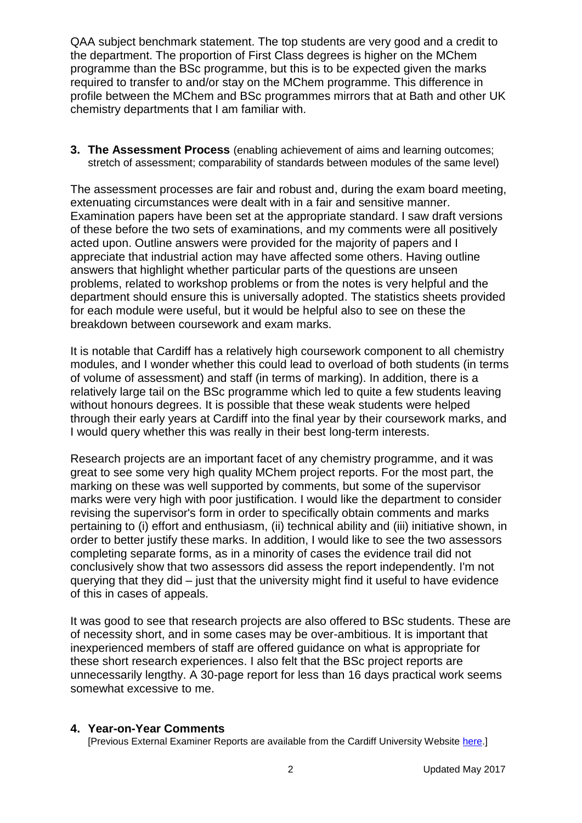QAA subject benchmark statement. The top students are very good and a credit to the department. The proportion of First Class degrees is higher on the MChem programme than the BSc programme, but this is to be expected given the marks required to transfer to and/or stay on the MChem programme. This difference in profile between the MChem and BSc programmes mirrors that at Bath and other UK chemistry departments that I am familiar with.

**3. The Assessment Process** (enabling achievement of aims and learning outcomes; stretch of assessment; comparability of standards between modules of the same level)

The assessment processes are fair and robust and, during the exam board meeting, extenuating circumstances were dealt with in a fair and sensitive manner. Examination papers have been set at the appropriate standard. I saw draft versions of these before the two sets of examinations, and my comments were all positively acted upon. Outline answers were provided for the majority of papers and I appreciate that industrial action may have affected some others. Having outline answers that highlight whether particular parts of the questions are unseen problems, related to workshop problems or from the notes is very helpful and the department should ensure this is universally adopted. The statistics sheets provided for each module were useful, but it would be helpful also to see on these the breakdown between coursework and exam marks.

It is notable that Cardiff has a relatively high coursework component to all chemistry modules, and I wonder whether this could lead to overload of both students (in terms of volume of assessment) and staff (in terms of marking). In addition, there is a relatively large tail on the BSc programme which led to quite a few students leaving without honours degrees. It is possible that these weak students were helped through their early years at Cardiff into the final year by their coursework marks, and I would query whether this was really in their best long-term interests.

Research projects are an important facet of any chemistry programme, and it was great to see some very high quality MChem project reports. For the most part, the marking on these was well supported by comments, but some of the supervisor marks were very high with poor justification. I would like the department to consider revising the supervisor's form in order to specifically obtain comments and marks pertaining to (i) effort and enthusiasm, (ii) technical ability and (iii) initiative shown, in order to better justify these marks. In addition, I would like to see the two assessors completing separate forms, as in a minority of cases the evidence trail did not conclusively show that two assessors did assess the report independently. I'm not querying that they did – just that the university might find it useful to have evidence of this in cases of appeals.

It was good to see that research projects are also offered to BSc students. These are of necessity short, and in some cases may be over-ambitious. It is important that inexperienced members of staff are offered guidance on what is appropriate for these short research experiences. I also felt that the BSc project reports are unnecessarily lengthy. A 30-page report for less than 16 days practical work seems somewhat excessive to me.

## **4. Year-on-Year Comments**

[Previous External Examiner Reports are available from the Cardiff University Website [here.](https://www.cardiff.ac.uk/public-information/quality-and-standards/external-examiner-reports)]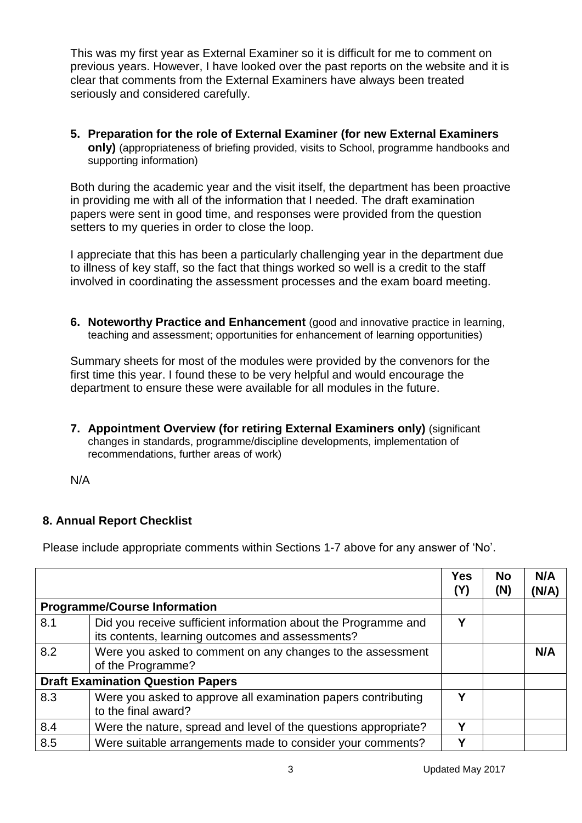This was my first year as External Examiner so it is difficult for me to comment on previous years. However, I have looked over the past reports on the website and it is clear that comments from the External Examiners have always been treated seriously and considered carefully.

**5. Preparation for the role of External Examiner (for new External Examiners only)** (appropriateness of briefing provided, visits to School, programme handbooks and supporting information)

Both during the academic year and the visit itself, the department has been proactive in providing me with all of the information that I needed. The draft examination papers were sent in good time, and responses were provided from the question setters to my queries in order to close the loop.

I appreciate that this has been a particularly challenging year in the department due to illness of key staff, so the fact that things worked so well is a credit to the staff involved in coordinating the assessment processes and the exam board meeting.

**6. Noteworthy Practice and Enhancement** (good and innovative practice in learning, teaching and assessment; opportunities for enhancement of learning opportunities)

Summary sheets for most of the modules were provided by the convenors for the first time this year. I found these to be very helpful and would encourage the department to ensure these were available for all modules in the future.

**7. Appointment Overview (for retiring External Examiners only)** (significant changes in standards, programme/discipline developments, implementation of recommendations, further areas of work)

N/A

## **8. Annual Report Checklist**

Please include appropriate comments within Sections 1-7 above for any answer of 'No'.

|     |                                                                                                                    | <b>Yes</b><br>(Y) | <b>No</b><br>(N) | N/A<br>(N/A) |
|-----|--------------------------------------------------------------------------------------------------------------------|-------------------|------------------|--------------|
|     | <b>Programme/Course Information</b>                                                                                |                   |                  |              |
| 8.1 | Did you receive sufficient information about the Programme and<br>its contents, learning outcomes and assessments? | Υ                 |                  |              |
| 8.2 | Were you asked to comment on any changes to the assessment<br>of the Programme?                                    |                   |                  | N/A          |
|     | <b>Draft Examination Question Papers</b>                                                                           |                   |                  |              |
| 8.3 | Were you asked to approve all examination papers contributing<br>to the final award?                               | v                 |                  |              |
| 8.4 | Were the nature, spread and level of the questions appropriate?                                                    | v                 |                  |              |
| 8.5 | Were suitable arrangements made to consider your comments?                                                         | v                 |                  |              |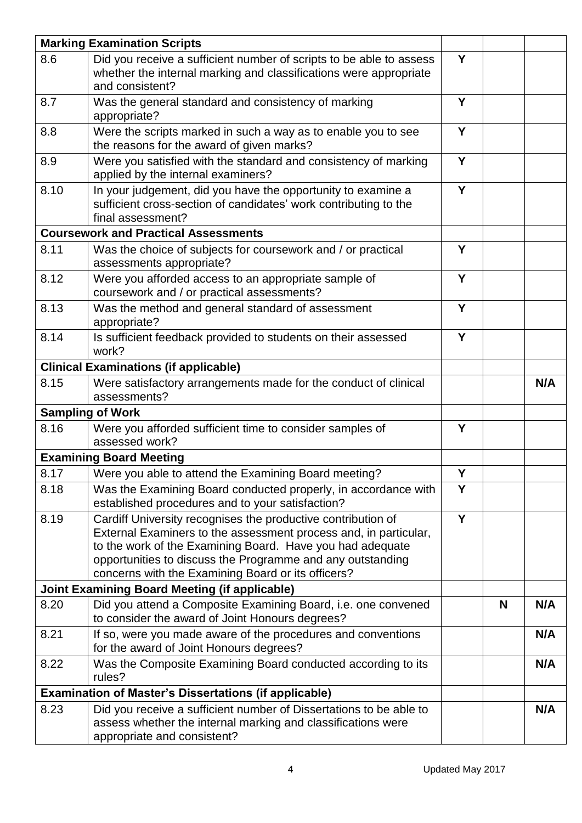|                                             | <b>Marking Examination Scripts</b>                                                                                                                    |   |   |     |
|---------------------------------------------|-------------------------------------------------------------------------------------------------------------------------------------------------------|---|---|-----|
| 8.6                                         | Did you receive a sufficient number of scripts to be able to assess                                                                                   | Y |   |     |
|                                             | whether the internal marking and classifications were appropriate                                                                                     |   |   |     |
|                                             | and consistent?                                                                                                                                       |   |   |     |
| 8.7                                         | Was the general standard and consistency of marking<br>appropriate?                                                                                   | Y |   |     |
| 8.8                                         | Were the scripts marked in such a way as to enable you to see                                                                                         | Y |   |     |
|                                             | the reasons for the award of given marks?                                                                                                             |   |   |     |
| 8.9                                         | Were you satisfied with the standard and consistency of marking<br>applied by the internal examiners?                                                 | Y |   |     |
| 8.10                                        | In your judgement, did you have the opportunity to examine a<br>sufficient cross-section of candidates' work contributing to the<br>final assessment? | Y |   |     |
| <b>Coursework and Practical Assessments</b> |                                                                                                                                                       |   |   |     |
| 8.11                                        | Was the choice of subjects for coursework and / or practical                                                                                          | Y |   |     |
|                                             | assessments appropriate?                                                                                                                              |   |   |     |
| 8.12                                        | Were you afforded access to an appropriate sample of<br>coursework and / or practical assessments?                                                    | Y |   |     |
| 8.13                                        | Was the method and general standard of assessment<br>appropriate?                                                                                     | Y |   |     |
| 8.14                                        | Is sufficient feedback provided to students on their assessed<br>work?                                                                                | Y |   |     |
|                                             |                                                                                                                                                       |   |   |     |
| 8.15                                        | <b>Clinical Examinations (if applicable)</b>                                                                                                          |   |   | N/A |
|                                             | Were satisfactory arrangements made for the conduct of clinical<br>assessments?                                                                       |   |   |     |
| <b>Sampling of Work</b>                     |                                                                                                                                                       |   |   |     |
| 8.16                                        | Were you afforded sufficient time to consider samples of<br>assessed work?                                                                            | Y |   |     |
|                                             | <b>Examining Board Meeting</b>                                                                                                                        |   |   |     |
| 8.17                                        | Were you able to attend the Examining Board meeting?                                                                                                  | Y |   |     |
| 8.18                                        | Was the Examining Board conducted properly, in accordance with<br>established procedures and to your satisfaction?                                    | Y |   |     |
| 8.19                                        | Cardiff University recognises the productive contribution of                                                                                          | Y |   |     |
|                                             | External Examiners to the assessment process and, in particular,                                                                                      |   |   |     |
|                                             | to the work of the Examining Board. Have you had adequate                                                                                             |   |   |     |
|                                             | opportunities to discuss the Programme and any outstanding                                                                                            |   |   |     |
|                                             | concerns with the Examining Board or its officers?                                                                                                    |   |   |     |
|                                             | <b>Joint Examining Board Meeting (if applicable)</b>                                                                                                  |   |   |     |
| 8.20                                        | Did you attend a Composite Examining Board, i.e. one convened<br>to consider the award of Joint Honours degrees?                                      |   | N | N/A |
| 8.21                                        | If so, were you made aware of the procedures and conventions<br>for the award of Joint Honours degrees?                                               |   |   | N/A |
| 8.22                                        | Was the Composite Examining Board conducted according to its<br>rules?                                                                                |   |   | N/A |
|                                             | <b>Examination of Master's Dissertations (if applicable)</b>                                                                                          |   |   |     |
| 8.23                                        | Did you receive a sufficient number of Dissertations to be able to                                                                                    |   |   | N/A |
|                                             | assess whether the internal marking and classifications were<br>appropriate and consistent?                                                           |   |   |     |
|                                             |                                                                                                                                                       |   |   |     |